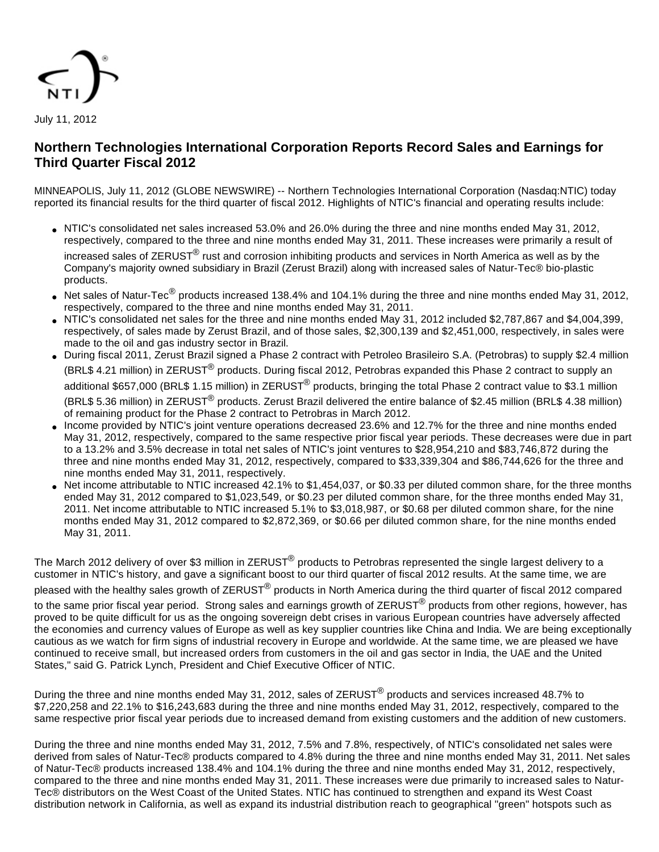

# **Northern Technologies International Corporation Reports Record Sales and Earnings for Third Quarter Fiscal 2012**

MINNEAPOLIS, July 11, 2012 (GLOBE NEWSWIRE) -- Northern Technologies International Corporation (Nasdaq:NTIC) today reported its financial results for the third quarter of fiscal 2012. Highlights of NTIC's financial and operating results include:

- NTIC's consolidated net sales increased 53.0% and 26.0% during the three and nine months ended May 31, 2012, respectively, compared to the three and nine months ended May 31, 2011. These increases were primarily a result of increased sales of ZERUST<sup>®</sup> rust and corrosion inhibiting products and services in North America as well as by the Company's majority owned subsidiary in Brazil (Zerust Brazil) along with increased sales of Natur-Tec® bio-plastic products.
- Net sales of Natur-Tec $^\circledR$  products increased 138.4% and 104.1% during the three and nine months ended May 31, 2012, respectively, compared to the three and nine months ended May 31, 2011.
- NTIC's consolidated net sales for the three and nine months ended May 31, 2012 included \$2,787,867 and \$4,004,399, respectively, of sales made by Zerust Brazil, and of those sales, \$2,300,139 and \$2,451,000, respectively, in sales were made to the oil and gas industry sector in Brazil.
- During fiscal 2011, Zerust Brazil signed a Phase 2 contract with Petroleo Brasileiro S.A. (Petrobras) to supply \$2.4 million (BRL\$ 4.21 million) in ZERUST® products. During fiscal 2012, Petrobras expanded this Phase 2 contract to supply an additional \$657,000 (BRL\$ 1.15 million) in ZERUST<sup>®</sup> products, bringing the total Phase 2 contract value to \$3.1 million (BRL\$ 5.36 million) in ZERUST<sup>®</sup> products. Zerust Brazil delivered the entire balance of \$2.45 million (BRL\$ 4.38 million) of remaining product for the Phase 2 contract to Petrobras in March 2012.
- Income provided by NTIC's joint venture operations decreased 23.6% and 12.7% for the three and nine months ended May 31, 2012, respectively, compared to the same respective prior fiscal year periods. These decreases were due in part to a 13.2% and 3.5% decrease in total net sales of NTIC's joint ventures to \$28,954,210 and \$83,746,872 during the three and nine months ended May 31, 2012, respectively, compared to \$33,339,304 and \$86,744,626 for the three and nine months ended May 31, 2011, respectively.
- Net income attributable to NTIC increased 42.1% to \$1,454,037, or \$0.33 per diluted common share, for the three months ended May 31, 2012 compared to \$1,023,549, or \$0.23 per diluted common share, for the three months ended May 31, 2011. Net income attributable to NTIC increased 5.1% to \$3,018,987, or \$0.68 per diluted common share, for the nine months ended May 31, 2012 compared to \$2,872,369, or \$0.66 per diluted common share, for the nine months ended May 31, 2011.

The March 2012 delivery of over \$3 million in ZERUST $^\circledR$  products to Petrobras represented the single largest delivery to a customer in NTIC's history, and gave a significant boost to our third quarter of fiscal 2012 results. At the same time, we are

pleased with the healthy sales growth of ZERUST<sup>®</sup> products in North America during the third quarter of fiscal 2012 compared

to the same prior fiscal year period. Strong sales and earnings growth of ZERUST<sup>®</sup> products from other regions, however, has proved to be quite difficult for us as the ongoing sovereign debt crises in various European countries have adversely affected the economies and currency values of Europe as well as key supplier countries like China and India. We are being exceptionally cautious as we watch for firm signs of industrial recovery in Europe and worldwide. At the same time, we are pleased we have continued to receive small, but increased orders from customers in the oil and gas sector in India, the UAE and the United States," said G. Patrick Lynch, President and Chief Executive Officer of NTIC.

During the three and nine months ended May 31, 2012, sales of ZERUST<sup>®</sup> products and services increased 48.7% to \$7,220,258 and 22.1% to \$16,243,683 during the three and nine months ended May 31, 2012, respectively, compared to the same respective prior fiscal year periods due to increased demand from existing customers and the addition of new customers.

During the three and nine months ended May 31, 2012, 7.5% and 7.8%, respectively, of NTIC's consolidated net sales were derived from sales of Natur-Tec® products compared to 4.8% during the three and nine months ended May 31, 2011. Net sales of Natur-Tec® products increased 138.4% and 104.1% during the three and nine months ended May 31, 2012, respectively, compared to the three and nine months ended May 31, 2011. These increases were due primarily to increased sales to Natur-Tec® distributors on the West Coast of the United States. NTIC has continued to strengthen and expand its West Coast distribution network in California, as well as expand its industrial distribution reach to geographical "green" hotspots such as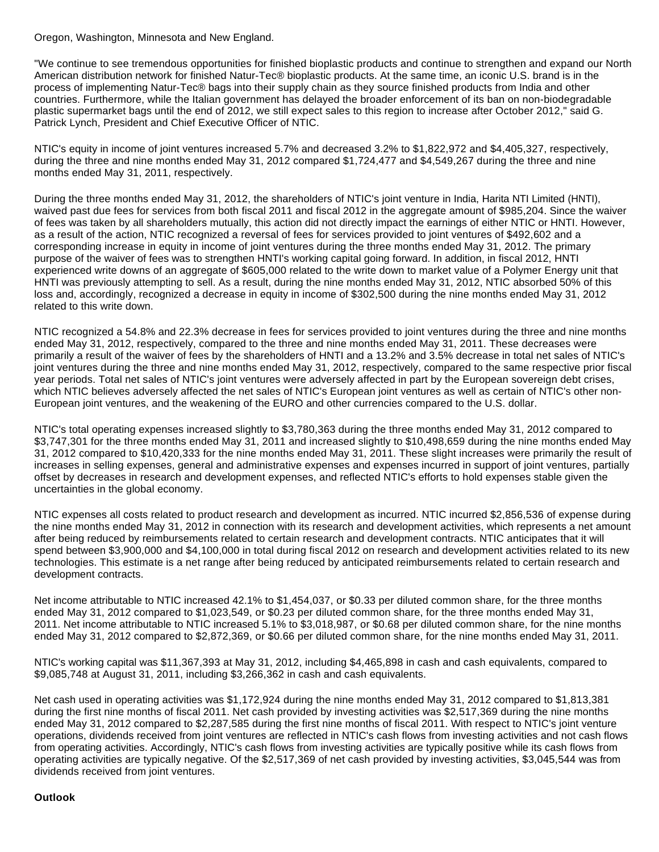Oregon, Washington, Minnesota and New England.

"We continue to see tremendous opportunities for finished bioplastic products and continue to strengthen and expand our North American distribution network for finished Natur-Tec® bioplastic products. At the same time, an iconic U.S. brand is in the process of implementing Natur-Tec® bags into their supply chain as they source finished products from India and other countries. Furthermore, while the Italian government has delayed the broader enforcement of its ban on non-biodegradable plastic supermarket bags until the end of 2012, we still expect sales to this region to increase after October 2012," said G. Patrick Lynch, President and Chief Executive Officer of NTIC.

NTIC's equity in income of joint ventures increased 5.7% and decreased 3.2% to \$1,822,972 and \$4,405,327, respectively, during the three and nine months ended May 31, 2012 compared \$1,724,477 and \$4,549,267 during the three and nine months ended May 31, 2011, respectively.

During the three months ended May 31, 2012, the shareholders of NTIC's joint venture in India, Harita NTI Limited (HNTI), waived past due fees for services from both fiscal 2011 and fiscal 2012 in the aggregate amount of \$985,204. Since the waiver of fees was taken by all shareholders mutually, this action did not directly impact the earnings of either NTIC or HNTI. However, as a result of the action, NTIC recognized a reversal of fees for services provided to joint ventures of \$492,602 and a corresponding increase in equity in income of joint ventures during the three months ended May 31, 2012. The primary purpose of the waiver of fees was to strengthen HNTI's working capital going forward. In addition, in fiscal 2012, HNTI experienced write downs of an aggregate of \$605,000 related to the write down to market value of a Polymer Energy unit that HNTI was previously attempting to sell. As a result, during the nine months ended May 31, 2012, NTIC absorbed 50% of this loss and, accordingly, recognized a decrease in equity in income of \$302,500 during the nine months ended May 31, 2012 related to this write down.

NTIC recognized a 54.8% and 22.3% decrease in fees for services provided to joint ventures during the three and nine months ended May 31, 2012, respectively, compared to the three and nine months ended May 31, 2011. These decreases were primarily a result of the waiver of fees by the shareholders of HNTI and a 13.2% and 3.5% decrease in total net sales of NTIC's joint ventures during the three and nine months ended May 31, 2012, respectively, compared to the same respective prior fiscal year periods. Total net sales of NTIC's joint ventures were adversely affected in part by the European sovereign debt crises, which NTIC believes adversely affected the net sales of NTIC's European joint ventures as well as certain of NTIC's other non-European joint ventures, and the weakening of the EURO and other currencies compared to the U.S. dollar.

NTIC's total operating expenses increased slightly to \$3,780,363 during the three months ended May 31, 2012 compared to \$3,747,301 for the three months ended May 31, 2011 and increased slightly to \$10,498,659 during the nine months ended May 31, 2012 compared to \$10,420,333 for the nine months ended May 31, 2011. These slight increases were primarily the result of increases in selling expenses, general and administrative expenses and expenses incurred in support of joint ventures, partially offset by decreases in research and development expenses, and reflected NTIC's efforts to hold expenses stable given the uncertainties in the global economy.

NTIC expenses all costs related to product research and development as incurred. NTIC incurred \$2,856,536 of expense during the nine months ended May 31, 2012 in connection with its research and development activities, which represents a net amount after being reduced by reimbursements related to certain research and development contracts. NTIC anticipates that it will spend between \$3,900,000 and \$4,100,000 in total during fiscal 2012 on research and development activities related to its new technologies. This estimate is a net range after being reduced by anticipated reimbursements related to certain research and development contracts.

Net income attributable to NTIC increased 42.1% to \$1,454,037, or \$0.33 per diluted common share, for the three months ended May 31, 2012 compared to \$1,023,549, or \$0.23 per diluted common share, for the three months ended May 31, 2011. Net income attributable to NTIC increased 5.1% to \$3,018,987, or \$0.68 per diluted common share, for the nine months ended May 31, 2012 compared to \$2,872,369, or \$0.66 per diluted common share, for the nine months ended May 31, 2011.

NTIC's working capital was \$11,367,393 at May 31, 2012, including \$4,465,898 in cash and cash equivalents, compared to \$9,085,748 at August 31, 2011, including \$3,266,362 in cash and cash equivalents.

Net cash used in operating activities was \$1,172,924 during the nine months ended May 31, 2012 compared to \$1,813,381 during the first nine months of fiscal 2011. Net cash provided by investing activities was \$2,517,369 during the nine months ended May 31, 2012 compared to \$2,287,585 during the first nine months of fiscal 2011. With respect to NTIC's joint venture operations, dividends received from joint ventures are reflected in NTIC's cash flows from investing activities and not cash flows from operating activities. Accordingly, NTIC's cash flows from investing activities are typically positive while its cash flows from operating activities are typically negative. Of the \$2,517,369 of net cash provided by investing activities, \$3,045,544 was from dividends received from joint ventures.

### **Outlook**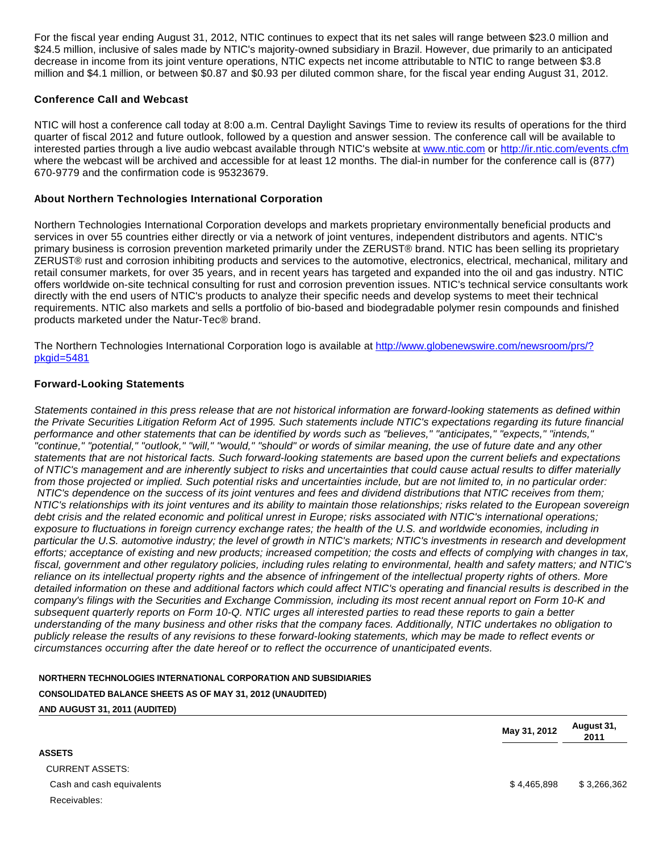For the fiscal year ending August 31, 2012, NTIC continues to expect that its net sales will range between \$23.0 million and \$24.5 million, inclusive of sales made by NTIC's majority-owned subsidiary in Brazil. However, due primarily to an anticipated decrease in income from its joint venture operations, NTIC expects net income attributable to NTIC to range between \$3.8 million and \$4.1 million, or between \$0.87 and \$0.93 per diluted common share, for the fiscal year ending August 31, 2012.

### **Conference Call and Webcast**

NTIC will host a conference call today at 8:00 a.m. Central Daylight Savings Time to review its results of operations for the third quarter of fiscal 2012 and future outlook, followed by a question and answer session. The conference call will be available to interested parties through a live audio webcast available through NTIC's website at [www.ntic.com](http://www.ntic.com/) or<http://ir.ntic.com/events.cfm> where the webcast will be archived and accessible for at least 12 months. The dial-in number for the conference call is (877) 670-9779 and the confirmation code is 95323679.

## **About Northern Technologies International Corporation**

Northern Technologies International Corporation develops and markets proprietary environmentally beneficial products and services in over 55 countries either directly or via a network of joint ventures, independent distributors and agents. NTIC's primary business is corrosion prevention marketed primarily under the ZERUST® brand. NTIC has been selling its proprietary ZERUST® rust and corrosion inhibiting products and services to the automotive, electronics, electrical, mechanical, military and retail consumer markets, for over 35 years, and in recent years has targeted and expanded into the oil and gas industry. NTIC offers worldwide on-site technical consulting for rust and corrosion prevention issues. NTIC's technical service consultants work directly with the end users of NTIC's products to analyze their specific needs and develop systems to meet their technical requirements. NTIC also markets and sells a portfolio of bio-based and biodegradable polymer resin compounds and finished products marketed under the Natur-Tec® brand.

The Northern Technologies International Corporation logo is available at [http://www.globenewswire.com/newsroom/prs/?](http://www.globenewswire.com/newsroom/prs/?pkgid=5481) [pkgid=5481](http://www.globenewswire.com/newsroom/prs/?pkgid=5481)

## **Forward-Looking Statements**

Statements contained in this press release that are not historical information are forward-looking statements as defined within the Private Securities Litigation Reform Act of 1995. Such statements include NTIC's expectations regarding its future financial performance and other statements that can be identified by words such as "believes," "anticipates," "expects," "intends," "continue," "potential," "outlook," "will," "would," "should" or words of similar meaning, the use of future date and any other statements that are not historical facts. Such forward-looking statements are based upon the current beliefs and expectations of NTIC's management and are inherently subject to risks and uncertainties that could cause actual results to differ materially from those projected or implied. Such potential risks and uncertainties include, but are not limited to, in no particular order: NTIC's dependence on the success of its joint ventures and fees and dividend distributions that NTIC receives from them; NTIC's relationships with its joint ventures and its ability to maintain those relationships; risks related to the European sovereign debt crisis and the related economic and political unrest in Europe; risks associated with NTIC's international operations; exposure to fluctuations in foreign currency exchange rates; the health of the U.S. and worldwide economies, including in particular the U.S. automotive industry; the level of growth in NTIC's markets; NTIC's investments in research and development efforts; acceptance of existing and new products; increased competition; the costs and effects of complying with changes in tax, fiscal, government and other regulatory policies, including rules relating to environmental, health and safety matters; and NTIC's reliance on its intellectual property rights and the absence of infringement of the intellectual property rights of others. More detailed information on these and additional factors which could affect NTIC's operating and financial results is described in the company's filings with the Securities and Exchange Commission, including its most recent annual report on Form 10-K and subsequent quarterly reports on Form 10-Q. NTIC urges all interested parties to read these reports to gain a better understanding of the many business and other risks that the company faces. Additionally, NTIC undertakes no obligation to publicly release the results of any revisions to these forward-looking statements, which may be made to reflect events or circumstances occurring after the date hereof or to reflect the occurrence of unanticipated events.

**NORTHERN TECHNOLOGIES INTERNATIONAL CORPORATION AND SUBSIDIARIES CONSOLIDATED BALANCE SHEETS AS OF MAY 31, 2012 (UNAUDITED) AND AUGUST 31, 2011 (AUDITED)**

> **May 31, 2012 August 31, 2011**

| <b>ASSETS</b>             |
|---------------------------|
| CURRENT ASSETS:           |
| Cash and cash equivalents |
| Receivables:              |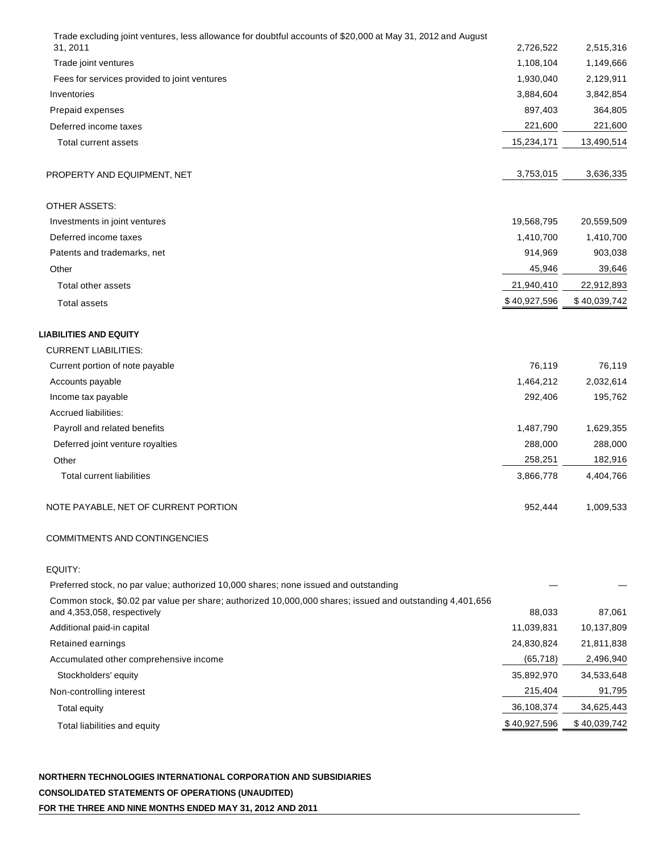| Trade excluding joint ventures, less allowance for doubtful accounts of \$20,000 at May 31, 2012 and August                             |              |              |
|-----------------------------------------------------------------------------------------------------------------------------------------|--------------|--------------|
| 31.2011                                                                                                                                 | 2,726,522    | 2,515,316    |
| Trade joint ventures                                                                                                                    | 1,108,104    | 1,149,666    |
| Fees for services provided to joint ventures                                                                                            | 1,930,040    | 2,129,911    |
| Inventories                                                                                                                             | 3,884,604    | 3,842,854    |
| Prepaid expenses                                                                                                                        | 897,403      | 364,805      |
| Deferred income taxes                                                                                                                   | 221,600      | 221,600      |
| Total current assets                                                                                                                    | 15,234,171   | 13,490,514   |
| PROPERTY AND EQUIPMENT, NET                                                                                                             | 3,753,015    | 3,636,335    |
| OTHER ASSETS:                                                                                                                           |              |              |
| Investments in joint ventures                                                                                                           | 19,568,795   | 20,559,509   |
| Deferred income taxes                                                                                                                   | 1,410,700    | 1,410,700    |
| Patents and trademarks, net                                                                                                             | 914,969      | 903,038      |
| Other                                                                                                                                   | 45,946       | 39,646       |
| Total other assets                                                                                                                      | 21,940,410   | 22,912,893   |
| <b>Total assets</b>                                                                                                                     | \$40,927,596 | \$40,039,742 |
| LIABILITIES AND EQUITY                                                                                                                  |              |              |
| <b>CURRENT LIABILITIES:</b>                                                                                                             |              |              |
| Current portion of note payable                                                                                                         | 76,119       | 76,119       |
| Accounts payable                                                                                                                        | 1,464,212    | 2,032,614    |
| Income tax payable                                                                                                                      | 292,406      | 195,762      |
| Accrued liabilities:                                                                                                                    |              |              |
| Payroll and related benefits                                                                                                            | 1,487,790    | 1,629,355    |
| Deferred joint venture royalties                                                                                                        | 288,000      | 288,000      |
| Other                                                                                                                                   | 258,251      | 182,916      |
| <b>Total current liabilities</b>                                                                                                        | 3,866,778    | 4,404,766    |
| NOTE PAYABLE, NET OF CURRENT PORTION                                                                                                    | 952,444      | 1,009,533    |
| COMMITMENTS AND CONTINGENCIES                                                                                                           |              |              |
| EQUITY:                                                                                                                                 |              |              |
| Preferred stock, no par value; authorized 10,000 shares; none issued and outstanding                                                    |              |              |
| Common stock, \$0.02 par value per share; authorized 10,000,000 shares; issued and outstanding 4,401,656<br>and 4,353,058, respectively | 88,033       | 87,061       |
| Additional paid-in capital                                                                                                              | 11,039,831   | 10,137,809   |
| Retained earnings                                                                                                                       | 24,830,824   | 21,811,838   |
| Accumulated other comprehensive income                                                                                                  | (65, 718)    | 2,496,940    |
| Stockholders' equity                                                                                                                    | 35,892,970   | 34,533,648   |
| Non-controlling interest                                                                                                                | 215,404      | 91,795       |
| <b>Total equity</b>                                                                                                                     | 36,108,374   | 34,625,443   |
|                                                                                                                                         | \$40,927,596 | \$40,039,742 |
| Total liabilities and equity                                                                                                            |              |              |

**NORTHERN TECHNOLOGIES INTERNATIONAL CORPORATION AND SUBSIDIARIES CONSOLIDATED STATEMENTS OF OPERATIONS (UNAUDITED)** 

**FOR THE THREE AND NINE MONTHS ENDED MAY 31, 2012 AND 2011**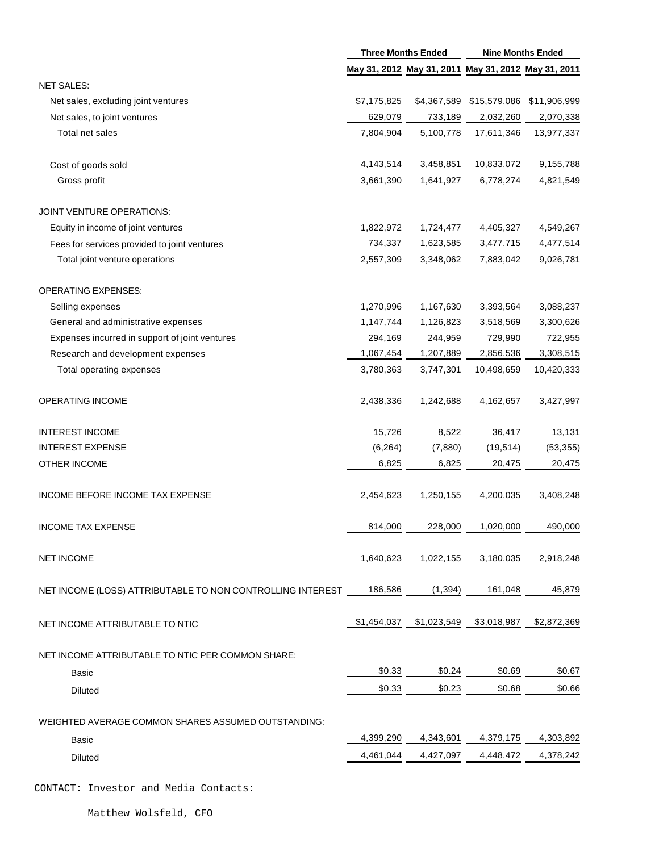|                                                            | <b>Three Months Ended</b> |             | <b>Nine Months Ended</b>                            |              |
|------------------------------------------------------------|---------------------------|-------------|-----------------------------------------------------|--------------|
|                                                            |                           |             | May 31, 2012 May 31, 2011 May 31, 2012 May 31, 2011 |              |
| <b>NET SALES:</b>                                          |                           |             |                                                     |              |
| Net sales, excluding joint ventures                        | \$7,175,825               | \$4,367,589 | \$15,579,086                                        | \$11,906,999 |
| Net sales, to joint ventures                               | 629,079                   | 733,189     | 2,032,260                                           | 2,070,338    |
| Total net sales                                            | 7,804,904                 | 5,100,778   | 17,611,346                                          | 13,977,337   |
| Cost of goods sold                                         | 4,143,514                 | 3,458,851   | 10,833,072                                          | 9,155,788    |
| Gross profit                                               | 3,661,390                 | 1,641,927   | 6,778,274                                           | 4,821,549    |
| JOINT VENTURE OPERATIONS:                                  |                           |             |                                                     |              |
| Equity in income of joint ventures                         | 1,822,972                 | 1,724,477   | 4,405,327                                           | 4,549,267    |
| Fees for services provided to joint ventures               | 734,337                   | 1,623,585   | 3,477,715                                           | 4,477,514    |
| Total joint venture operations                             | 2,557,309                 | 3,348,062   | 7,883,042                                           | 9,026,781    |
| <b>OPERATING EXPENSES:</b>                                 |                           |             |                                                     |              |
| Selling expenses                                           | 1,270,996                 | 1,167,630   | 3,393,564                                           | 3,088,237    |
| General and administrative expenses                        | 1,147,744                 | 1,126,823   | 3,518,569                                           | 3,300,626    |
| Expenses incurred in support of joint ventures             | 294,169                   | 244,959     | 729,990                                             | 722,955      |
| Research and development expenses                          | 1,067,454                 | 1,207,889   | 2,856,536                                           | 3,308,515    |
| Total operating expenses                                   | 3,780,363                 | 3,747,301   | 10,498,659                                          | 10,420,333   |
| OPERATING INCOME                                           | 2,438,336                 | 1,242,688   | 4,162,657                                           | 3,427,997    |
| <b>INTEREST INCOME</b>                                     | 15,726                    | 8,522       | 36,417                                              | 13,131       |
| <b>INTEREST EXPENSE</b>                                    | (6, 264)                  | (7,880)     | (19, 514)                                           | (53, 355)    |
| OTHER INCOME                                               | 6,825                     | 6,825       | 20,475                                              | 20,475       |
| INCOME BEFORE INCOME TAX EXPENSE                           | 2,454,623                 | 1,250,155   | 4,200,035                                           | 3,408,248    |
| <b>INCOME TAX EXPENSE</b>                                  | 814,000                   | 228,000     | 1,020,000                                           | 490,000      |
| <b>NET INCOME</b>                                          | 1,640,623                 | 1,022,155   | 3,180,035                                           | 2,918,248    |
| NET INCOME (LOSS) ATTRIBUTABLE TO NON CONTROLLING INTEREST | 186,586                   | (1, 394)    | 161,048                                             | 45,879       |
| NET INCOME ATTRIBUTABLE TO NTIC                            | \$1,454,037               | \$1,023,549 | \$3,018,987                                         | \$2,872,369  |
| NET INCOME ATTRIBUTABLE TO NTIC PER COMMON SHARE:          |                           |             |                                                     |              |
| Basic                                                      | \$0.33                    | \$0.24      | \$0.69                                              | \$0.67       |
| <b>Diluted</b>                                             | \$0.33                    | \$0.23      | \$0.68                                              | \$0.66       |
| WEIGHTED AVERAGE COMMON SHARES ASSUMED OUTSTANDING:        |                           |             |                                                     |              |
| Basic                                                      | 4,399,290                 | 4,343,601   | 4,379,175                                           | 4,303,892    |
| <b>Diluted</b>                                             | 4,461,044                 | 4,427,097   | 4,448,472                                           | 4,378,242    |
| CONTACT: Investor and Media Contacts:                      |                           |             |                                                     |              |

Matthew Wolsfeld, CFO